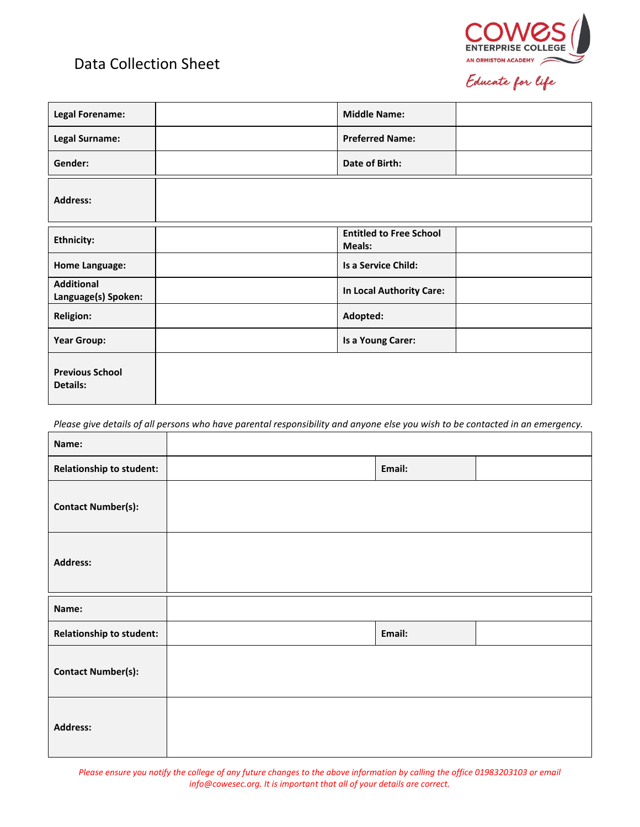## Data Collection Sheet



Educate for life

| <b>Legal Forename:</b>                    | <b>Middle Name:</b>                      |  |
|-------------------------------------------|------------------------------------------|--|
| <b>Legal Surname:</b>                     | <b>Preferred Name:</b>                   |  |
| Gender:                                   | Date of Birth:                           |  |
| <b>Address:</b>                           |                                          |  |
| <b>Ethnicity:</b>                         | <b>Entitled to Free School</b><br>Meals: |  |
| <b>Home Language:</b>                     | Is a Service Child:                      |  |
| <b>Additional</b><br>Language(s) Spoken:  | In Local Authority Care:                 |  |
| <b>Religion:</b>                          | Adopted:                                 |  |
| <b>Year Group:</b>                        | Is a Young Carer:                        |  |
| <b>Previous School</b><br><b>Details:</b> |                                          |  |

*Please give details of all persons who have parental responsibility and anyone else you wish to be contacted in an emergency.*

| Name:                           |        |  |
|---------------------------------|--------|--|
| <b>Relationship to student:</b> | Email: |  |
| <b>Contact Number(s):</b>       |        |  |
| <b>Address:</b>                 |        |  |
|                                 |        |  |
| Name:                           |        |  |
| <b>Relationship to student:</b> | Email: |  |
| <b>Contact Number(s):</b>       |        |  |

*Please ensure you notify the college of any future changes to the above information by calling the office 01983203103 or email info@cowesec.org. It is important that all of your details are correct.*